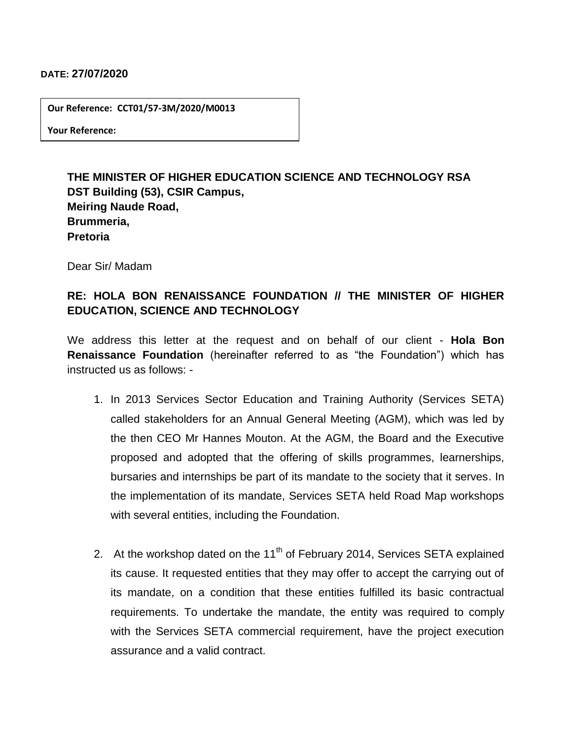## **DATE: 27/07/2020**

**Our Reference: CCT01/57-3M/2020/M0013**

**Your Reference:** 

## **THE MINISTER OF HIGHER EDUCATION SCIENCE AND TECHNOLOGY RSA DST Building (53), CSIR Campus, Meiring Naude Road, Brummeria, Pretoria**

Dear Sir/ Madam

## **RE: HOLA BON RENAISSANCE FOUNDATION // THE MINISTER OF HIGHER EDUCATION, SCIENCE AND TECHNOLOGY**

We address this letter at the request and on behalf of our client - **Hola Bon Renaissance Foundation** (hereinafter referred to as "the Foundation") which has instructed us as follows: -

- 1. In 2013 Services Sector Education and Training Authority (Services SETA) called stakeholders for an Annual General Meeting (AGM), which was led by the then CEO Mr Hannes Mouton. At the AGM, the Board and the Executive proposed and adopted that the offering of skills programmes, learnerships, bursaries and internships be part of its mandate to the society that it serves. In the implementation of its mandate, Services SETA held Road Map workshops with several entities, including the Foundation.
- 2. At the workshop dated on the 11<sup>th</sup> of February 2014, Services SETA explained its cause. It requested entities that they may offer to accept the carrying out of its mandate, on a condition that these entities fulfilled its basic contractual requirements. To undertake the mandate, the entity was required to comply with the Services SETA commercial requirement, have the project execution assurance and a valid contract.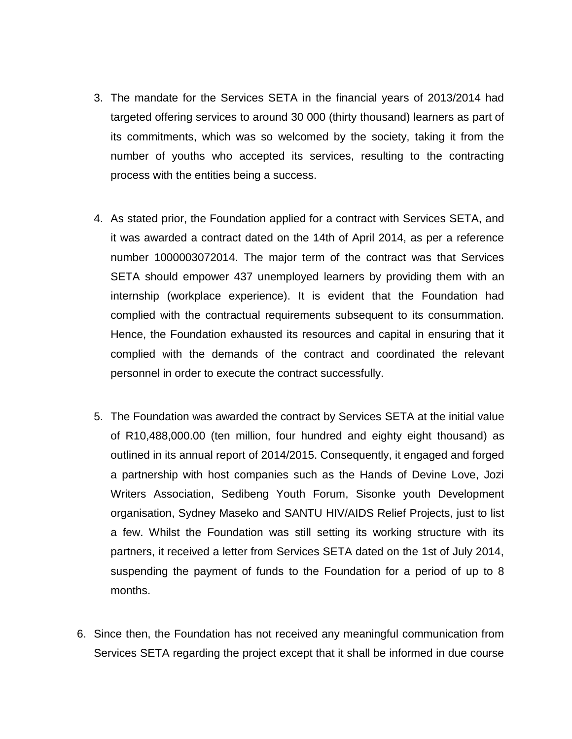- 3. The mandate for the Services SETA in the financial years of 2013/2014 had targeted offering services to around 30 000 (thirty thousand) learners as part of its commitments, which was so welcomed by the society, taking it from the number of youths who accepted its services, resulting to the contracting process with the entities being a success.
- 4. As stated prior, the Foundation applied for a contract with Services SETA, and it was awarded a contract dated on the 14th of April 2014, as per a reference number 1000003072014. The major term of the contract was that Services SETA should empower 437 unemployed learners by providing them with an internship (workplace experience). It is evident that the Foundation had complied with the contractual requirements subsequent to its consummation. Hence, the Foundation exhausted its resources and capital in ensuring that it complied with the demands of the contract and coordinated the relevant personnel in order to execute the contract successfully.
- 5. The Foundation was awarded the contract by Services SETA at the initial value of R10,488,000.00 (ten million, four hundred and eighty eight thousand) as outlined in its annual report of 2014/2015. Consequently, it engaged and forged a partnership with host companies such as the Hands of Devine Love, Jozi Writers Association, Sedibeng Youth Forum, Sisonke youth Development organisation, Sydney Maseko and SANTU HIV/AIDS Relief Projects, just to list a few. Whilst the Foundation was still setting its working structure with its partners, it received a letter from Services SETA dated on the 1st of July 2014, suspending the payment of funds to the Foundation for a period of up to 8 months.
- 6. Since then, the Foundation has not received any meaningful communication from Services SETA regarding the project except that it shall be informed in due course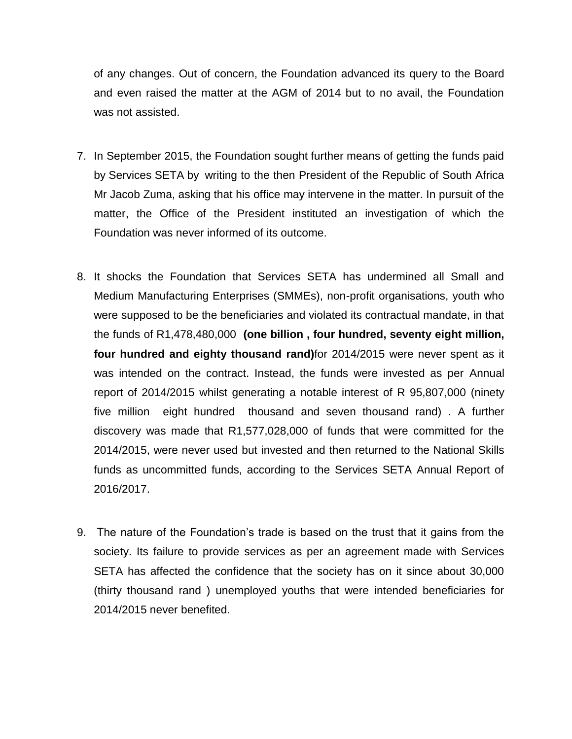of any changes. Out of concern, the Foundation advanced its query to the Board and even raised the matter at the AGM of 2014 but to no avail, the Foundation was not assisted.

- 7. In September 2015, the Foundation sought further means of getting the funds paid by Services SETA by writing to the then President of the Republic of South Africa Mr Jacob Zuma, asking that his office may intervene in the matter. In pursuit of the matter, the Office of the President instituted an investigation of which the Foundation was never informed of its outcome.
- 8. It shocks the Foundation that Services SETA has undermined all Small and Medium Manufacturing Enterprises (SMMEs), non-profit organisations, youth who were supposed to be the beneficiaries and violated its contractual mandate, in that the funds of R1,478,480,000 **(one billion , four hundred, seventy eight million, four hundred and eighty thousand rand)**for 2014/2015 were never spent as it was intended on the contract. Instead, the funds were invested as per Annual report of 2014/2015 whilst generating a notable interest of R 95,807,000 (ninety five million eight hundred thousand and seven thousand rand) . A further discovery was made that R1,577,028,000 of funds that were committed for the 2014/2015, were never used but invested and then returned to the National Skills funds as uncommitted funds, according to the Services SETA Annual Report of 2016/2017.
- 9. The nature of the Foundation's trade is based on the trust that it gains from the society. Its failure to provide services as per an agreement made with Services SETA has affected the confidence that the society has on it since about 30,000 (thirty thousand rand ) unemployed youths that were intended beneficiaries for 2014/2015 never benefited.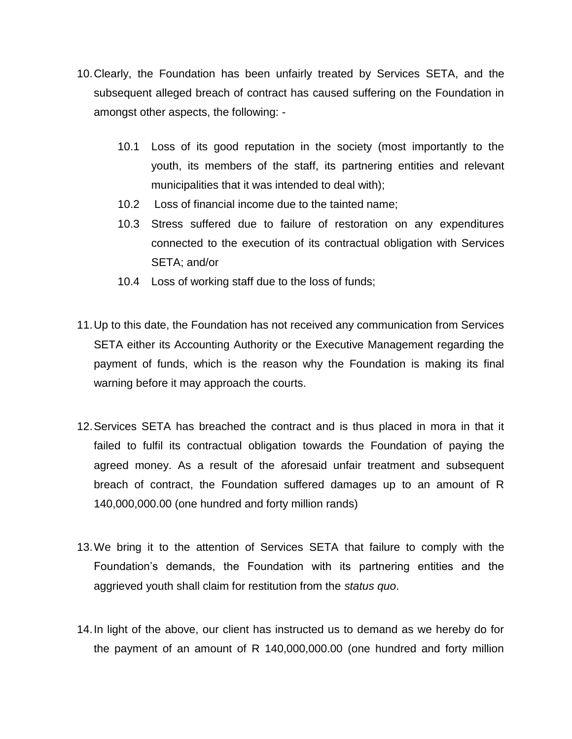- 10.Clearly, the Foundation has been unfairly treated by Services SETA, and the subsequent alleged breach of contract has caused suffering on the Foundation in amongst other aspects, the following: -
	- 10.1 Loss of its good reputation in the society (most importantly to the youth, its members of the staff, its partnering entities and relevant municipalities that it was intended to deal with);
	- 10.2 Loss of financial income due to the tainted name;
	- 10.3 Stress suffered due to failure of restoration on any expenditures connected to the execution of its contractual obligation with Services SETA; and/or
	- 10.4 Loss of working staff due to the loss of funds;
- 11.Up to this date, the Foundation has not received any communication from Services SETA either its Accounting Authority or the Executive Management regarding the payment of funds, which is the reason why the Foundation is making its final warning before it may approach the courts.
- 12.Services SETA has breached the contract and is thus placed in mora in that it failed to fulfil its contractual obligation towards the Foundation of paying the agreed money. As a result of the aforesaid unfair treatment and subsequent breach of contract, the Foundation suffered damages up to an amount of R 140,000,000.00 (one hundred and forty million rands)
- 13.We bring it to the attention of Services SETA that failure to comply with the Foundation's demands, the Foundation with its partnering entities and the aggrieved youth shall claim for restitution from the *status quo*.
- 14.In light of the above, our client has instructed us to demand as we hereby do for the payment of an amount of R 140,000,000.00 (one hundred and forty million